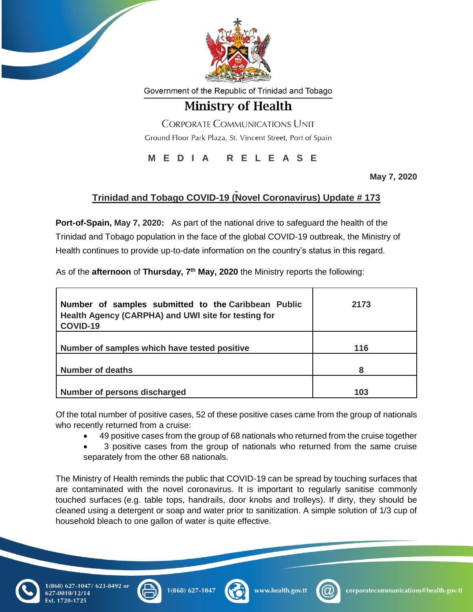

Government of the Republic of Trinidad and Tobago

## **Ministry of Health**

**CORPORATE COMMUNICATIONS UNIT** Ground Floor Park Plaza, St. Vincent Street, Port of Spain

**M E D I A R E L E A S E**

**May 7, 2020**

## **Trinidad and Tobago COVID-19 (Novel Coronavirus) Update # 173**

**Port-of-Spain, May 7, 2020:** As part of the national drive to safeguard the health of the Trinidad and Tobago population in the face of the global COVID-19 outbreak, the Ministry of Health continues to provide up-to-date information on the country's status in this regard.

As of the **afternoon** of **Thursday, 7 th May, 2020** the Ministry reports the following:

| Number of samples submitted to the Caribbean Public<br>Health Agency (CARPHA) and UWI site for testing for<br>COVID-19 | 2173 |
|------------------------------------------------------------------------------------------------------------------------|------|
| Number of samples which have tested positive                                                                           | 116  |
| <b>Number of deaths</b>                                                                                                | 8    |
| Number of persons discharged                                                                                           | 103  |

Of the total number of positive cases, 52 of these positive cases came from the group of nationals who recently returned from a cruise:

- 49 positive cases from the group of 68 nationals who returned from the cruise together
- 3 positive cases from the group of nationals who returned from the same cruise separately from the other 68 nationals.

The Ministry of Health reminds the public that COVID-19 can be spread by touching surfaces that are contaminated with the novel coronavirus. It is important to regularly sanitise commonly touched surfaces (e.g. table tops, handrails, door knobs and trolleys). If dirty, they should be cleaned using a detergent or soap and water prior to sanitization. A simple solution of 1/3 cup of household bleach to one gallon of water is quite effective.